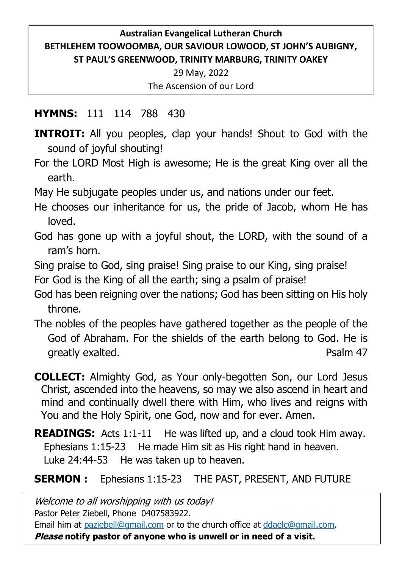### **Australian Evangelical Lutheran Church BETHLEHEM TOOWOOMBA, OUR SAVIOUR LOWOOD, ST JOHN'S AUBIGNY, ST PAUL'S GREENWOOD, TRINITY MARBURG, TRINITY OAKEY**

29 May, 2022 The Ascension of our Lord

### **HYMNS:** 111 114 788 430

- **INTROIT:** All you peoples, clap your hands! Shout to God with the sound of joyful shouting!
- For the LORD Most High is awesome; He is the great King over all the earth.
- May He subjugate peoples under us, and nations under our feet.
- He chooses our inheritance for us, the pride of Jacob, whom He has loved.
- God has gone up with a joyful shout, the LORD, with the sound of a ram's horn.
- Sing praise to God, sing praise! Sing praise to our King, sing praise!
- For God is the King of all the earth; sing a psalm of praise!
- God has been reigning over the nations; God has been sitting on His holy throne.
- The nobles of the peoples have gathered together as the people of the God of Abraham. For the shields of the earth belong to God. He is greatly exalted. The same state of the state of the Psalm 47
- **COLLECT:** Almighty God, as Your only-begotten Son, our Lord Jesus Christ, ascended into the heavens, so may we also ascend in heart and mind and continually dwell there with Him, who lives and reigns with You and the Holy Spirit, one God, now and for ever. Amen.
- **READINGS:** Acts 1:1-11 He was lifted up, and a cloud took Him away. Ephesians 1:15-23 He made Him sit as His right hand in heaven. Luke 24:44-53 He was taken up to heaven.

# **SERMON :** Ephesians 1:15-23 THE PAST, PRESENT, AND FUTURE

Welcome to all worshipping with us today! Pastor Peter Ziebell, Phone 0407583922. Email him at [paziebell@gmail.com](mailto:paziebell@gmail.com) or to the church office at [ddaelc@gmail.com.](mailto:ddaelc@gmail.com) **Please notify pastor of anyone who is unwell or in need of a visit.**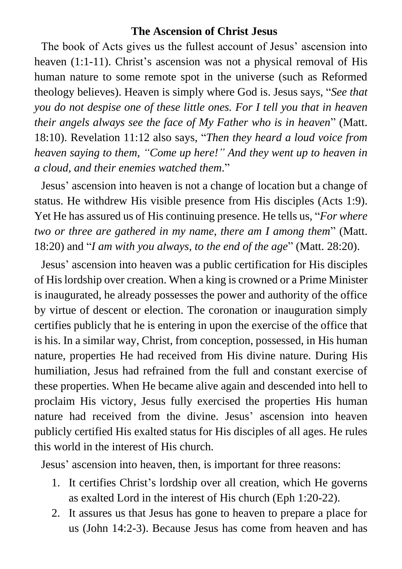#### **The Ascension of Christ Jesus**

The book of Acts gives us the fullest account of Jesus' ascension into heaven (1:1-11). Christ's ascension was not a physical removal of His human nature to some remote spot in the universe (such as Reformed theology believes). Heaven is simply where God is. Jesus says, "*See that you do not despise one of these little ones. For I tell you that in heaven their angels always see the face of My Father who is in heaven*" (Matt. 18:10). Revelation 11:12 also says, "*Then they heard a loud voice from heaven saying to them, "Come up here!" And they went up to heaven in a cloud, and their enemies watched them*."

Jesus' ascension into heaven is not a change of location but a change of status. He withdrew His visible presence from His disciples (Acts 1:9). Yet He has assured us of His continuing presence. He tells us, "*For where two or three are gathered in my name, there am I among them*" (Matt. 18:20) and "*I am with you always, to the end of the age*" (Matt. 28:20).

Jesus' ascension into heaven was a public certification for His disciples of His lordship over creation. When a king is crowned or a Prime Minister is inaugurated, he already possesses the power and authority of the office by virtue of descent or election. The coronation or inauguration simply certifies publicly that he is entering in upon the exercise of the office that is his. In a similar way, Christ, from conception, possessed, in His human nature, properties He had received from His divine nature. During His humiliation, Jesus had refrained from the full and constant exercise of these properties. When He became alive again and descended into hell to proclaim His victory, Jesus fully exercised the properties His human nature had received from the divine. Jesus' ascension into heaven publicly certified His exalted status for His disciples of all ages. He rules this world in the interest of His church.

Jesus' ascension into heaven, then, is important for three reasons:

- 1. It certifies Christ's lordship over all creation, which He governs as exalted Lord in the interest of His church (Eph 1:20-22).
- 2. It assures us that Jesus has gone to heaven to prepare a place for us (John 14:2-3). Because Jesus has come from heaven and has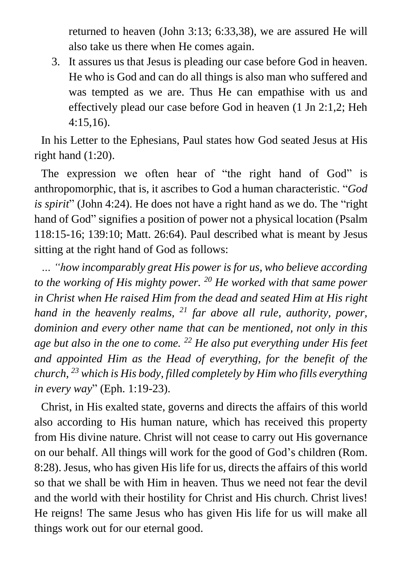returned to heaven (John 3:13; 6:33,38), we are assured He will also take us there when He comes again.

3. It assures us that Jesus is pleading our case before God in heaven. He who is God and can do all things is also man who suffered and was tempted as we are. Thus He can empathise with us and effectively plead our case before God in heaven (1 Jn 2:1,2; Heh 4:15,16).

In his Letter to the Ephesians, Paul states how God seated Jesus at His right hand (1:20).

The expression we often hear of "the right hand of God" is anthropomorphic, that is, it ascribes to God a human characteristic. "*God is spirit*" (John 4:24). He does not have a right hand as we do. The "right hand of God" signifies a position of power not a physical location (Psalm 118:15-16; 139:10; Matt. 26:64). Paul described what is meant by Jesus sitting at the right hand of God as follows:

*… "how incomparably great His power is for us, who believe according to the working of His mighty power. <sup>20</sup> He worked with that same power in Christ when He raised Him from the dead and seated Him at His right hand in the heavenly realms, <sup>21</sup> far above all rule, authority, power, dominion and every other name that can be mentioned, not only in this age but also in the one to come. <sup>22</sup> He also put everything under His feet and appointed Him as the Head of everything, for the benefit of the church, <sup>23</sup> which is His body, filled completely by Him who fills everything in every way*" (Eph. 1:19-23).

Christ, in His exalted state, governs and directs the affairs of this world also according to His human nature, which has received this property from His divine nature. Christ will not cease to carry out His governance on our behalf. All things will work for the good of God's children (Rom. 8:28). Jesus, who has given His life for us, directs the affairs of this world so that we shall be with Him in heaven. Thus we need not fear the devil and the world with their hostility for Christ and His church. Christ lives! He reigns! The same Jesus who has given His life for us will make all things work out for our eternal good.